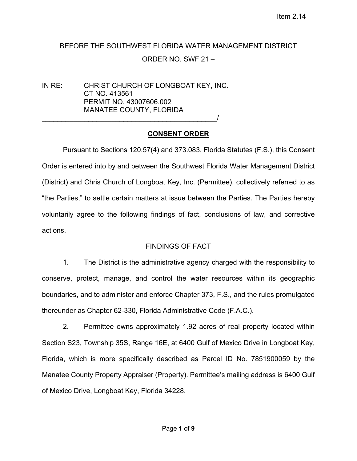# BEFORE THE SOUTHWEST FLORIDA WATER MANAGEMENT DISTRICT ORDER NO. SWF 21 –

IN RE: CHRIST CHURCH OF LONGBOAT KEY, INC. CT NO. 413561 PERMIT NO. 43007606.002 MANATEE COUNTY, FLORIDA

\_\_\_\_\_\_\_\_\_\_\_\_\_\_\_\_\_\_\_\_\_\_\_\_\_\_\_\_\_\_\_\_\_\_\_\_\_\_\_\_\_\_\_\_\_/

#### **CONSENT ORDER**

Pursuant to Sections 120.57(4) and 373.083, Florida Statutes (F.S.), this Consent Order is entered into by and between the Southwest Florida Water Management District (District) and Chris Church of Longboat Key, Inc. (Permittee), collectively referred to as "the Parties," to settle certain matters at issue between the Parties. The Parties hereby voluntarily agree to the following findings of fact, conclusions of law, and corrective actions.

#### FINDINGS OF FACT

1. The District is the administrative agency charged with the responsibility to conserve, protect, manage, and control the water resources within its geographic boundaries, and to administer and enforce Chapter 373, F.S., and the rules promulgated thereunder as Chapter 62-330, Florida Administrative Code (F.A.C.).

2. Permittee owns approximately 1.92 acres of real property located within Section S23, Township 35S, Range 16E, at 6400 Gulf of Mexico Drive in Longboat Key, Florida, which is more specifically described as Parcel ID No. 7851900059 by the Manatee County Property Appraiser (Property). Permittee's mailing address is 6400 Gulf of Mexico Drive, Longboat Key, Florida 34228.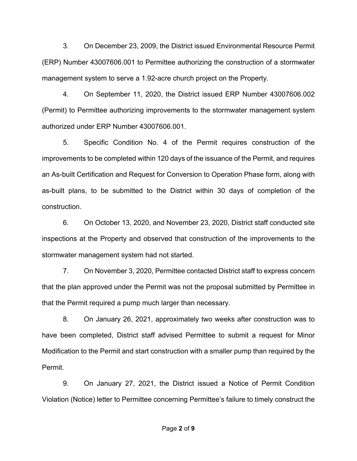3. On December 23, 2009, the District issued Environmental Resource Permit (ERP) Number 43007606.001 to Permittee authorizing the construction of a stormwater management system to serve a 1.92-acre church project on the Property.

4. On September 11, 2020, the District issued ERP Number 43007606.002 (Permit) to Permittee authorizing improvements to the stormwater management system authorized under ERP Number 43007606.001.

5. Specific Condition No. 4 of the Permit requires construction of the improvements to be completed within 120 days of the issuance of the Permit, and requires an As-built Certification and Request for Conversion to Operation Phase form, along with as-built plans, to be submitted to the District within 30 days of completion of the construction.

6. On October 13, 2020, and November 23, 2020, District staff conducted site inspections at the Property and observed that construction of the improvements to the stormwater management system had not started.

7. On November 3, 2020, Permittee contacted District staff to express concern that the plan approved under the Permit was not the proposal submitted by Permittee in that the Permit required a pump much larger than necessary.

8. On January 26, 2021, approximately two weeks after construction was to have been completed, District staff advised Permittee to submit a request for Minor Modification to the Permit and start construction with a smaller pump than required by the Permit.

9. On January 27, 2021, the District issued a Notice of Permit Condition Violation (Notice) letter to Permittee concerning Permittee's failure to timely construct the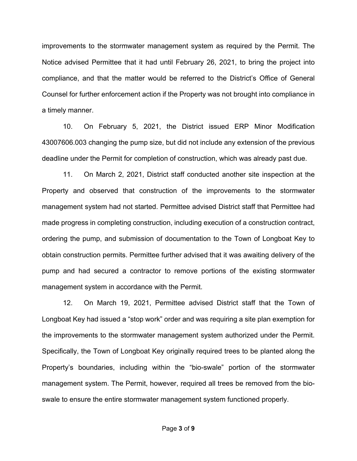improvements to the stormwater management system as required by the Permit. The Notice advised Permittee that it had until February 26, 2021, to bring the project into compliance, and that the matter would be referred to the District's Office of General Counsel for further enforcement action if the Property was not brought into compliance in a timely manner.

10. On February 5, 2021, the District issued ERP Minor Modification 43007606.003 changing the pump size, but did not include any extension of the previous deadline under the Permit for completion of construction, which was already past due.

11. On March 2, 2021, District staff conducted another site inspection at the Property and observed that construction of the improvements to the stormwater management system had not started. Permittee advised District staff that Permittee had made progress in completing construction, including execution of a construction contract, ordering the pump, and submission of documentation to the Town of Longboat Key to obtain construction permits. Permittee further advised that it was awaiting delivery of the pump and had secured a contractor to remove portions of the existing stormwater management system in accordance with the Permit.

12. On March 19, 2021, Permittee advised District staff that the Town of Longboat Key had issued a "stop work" order and was requiring a site plan exemption for the improvements to the stormwater management system authorized under the Permit. Specifically, the Town of Longboat Key originally required trees to be planted along the Property's boundaries, including within the "bio-swale" portion of the stormwater management system. The Permit, however, required all trees be removed from the bioswale to ensure the entire stormwater management system functioned properly.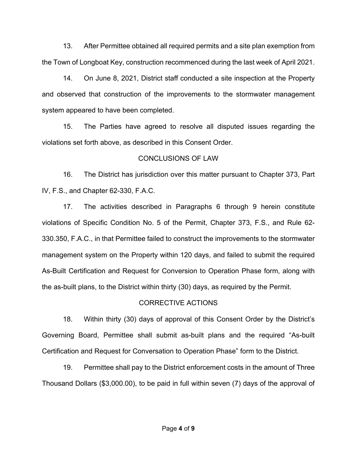13. After Permittee obtained all required permits and a site plan exemption from the Town of Longboat Key, construction recommenced during the last week of April 2021.

14. On June 8, 2021, District staff conducted a site inspection at the Property and observed that construction of the improvements to the stormwater management system appeared to have been completed.

15. The Parties have agreed to resolve all disputed issues regarding the violations set forth above, as described in this Consent Order.

### CONCLUSIONS OF LAW

16. The District has jurisdiction over this matter pursuant to Chapter 373, Part IV, F.S., and Chapter 62-330, F.A.C.

17. The activities described in Paragraphs 6 through 9 herein constitute violations of Specific Condition No. 5 of the Permit, Chapter 373, F.S., and Rule 62- 330.350, F.A.C., in that Permittee failed to construct the improvements to the stormwater management system on the Property within 120 days, and failed to submit the required As-Built Certification and Request for Conversion to Operation Phase form, along with the as-built plans, to the District within thirty (30) days, as required by the Permit.

## CORRECTIVE ACTIONS

18. Within thirty (30) days of approval of this Consent Order by the District's Governing Board, Permittee shall submit as-built plans and the required "As-built Certification and Request for Conversation to Operation Phase" form to the District.

19. Permittee shall pay to the District enforcement costs in the amount of Three Thousand Dollars (\$3,000.00), to be paid in full within seven (7) days of the approval of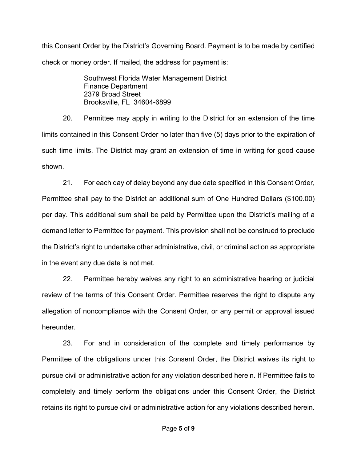this Consent Order by the District's Governing Board. Payment is to be made by certified check or money order. If mailed, the address for payment is:

> Southwest Florida Water Management District Finance Department 2379 Broad Street Brooksville, FL 34604-6899

20. Permittee may apply in writing to the District for an extension of the time limits contained in this Consent Order no later than five (5) days prior to the expiration of such time limits. The District may grant an extension of time in writing for good cause shown.

21. For each day of delay beyond any due date specified in this Consent Order, Permittee shall pay to the District an additional sum of One Hundred Dollars (\$100.00) per day. This additional sum shall be paid by Permittee upon the District's mailing of a demand letter to Permittee for payment. This provision shall not be construed to preclude the District's right to undertake other administrative, civil, or criminal action as appropriate in the event any due date is not met.

22. Permittee hereby waives any right to an administrative hearing or judicial review of the terms of this Consent Order. Permittee reserves the right to dispute any allegation of noncompliance with the Consent Order, or any permit or approval issued hereunder.

23. For and in consideration of the complete and timely performance by Permittee of the obligations under this Consent Order, the District waives its right to pursue civil or administrative action for any violation described herein. If Permittee fails to completely and timely perform the obligations under this Consent Order, the District retains its right to pursue civil or administrative action for any violations described herein.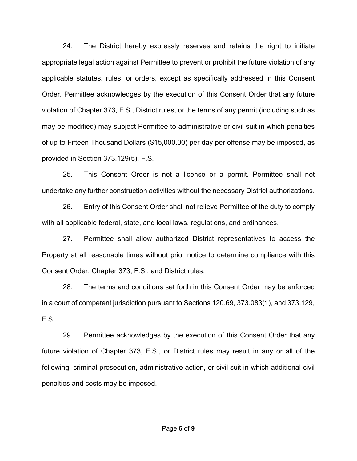24. The District hereby expressly reserves and retains the right to initiate appropriate legal action against Permittee to prevent or prohibit the future violation of any applicable statutes, rules, or orders, except as specifically addressed in this Consent Order. Permittee acknowledges by the execution of this Consent Order that any future violation of Chapter 373, F.S., District rules, or the terms of any permit (including such as may be modified) may subject Permittee to administrative or civil suit in which penalties of up to Fifteen Thousand Dollars (\$15,000.00) per day per offense may be imposed, as provided in Section 373.129(5), F.S.

25. This Consent Order is not a license or a permit. Permittee shall not undertake any further construction activities without the necessary District authorizations.

26. Entry of this Consent Order shall not relieve Permittee of the duty to comply with all applicable federal, state, and local laws, regulations, and ordinances.

27. Permittee shall allow authorized District representatives to access the Property at all reasonable times without prior notice to determine compliance with this Consent Order, Chapter 373, F.S., and District rules.

28. The terms and conditions set forth in this Consent Order may be enforced in a court of competent jurisdiction pursuant to Sections 120.69, 373.083(1), and 373.129, F.S.

29. Permittee acknowledges by the execution of this Consent Order that any future violation of Chapter 373, F.S., or District rules may result in any or all of the following: criminal prosecution, administrative action, or civil suit in which additional civil penalties and costs may be imposed.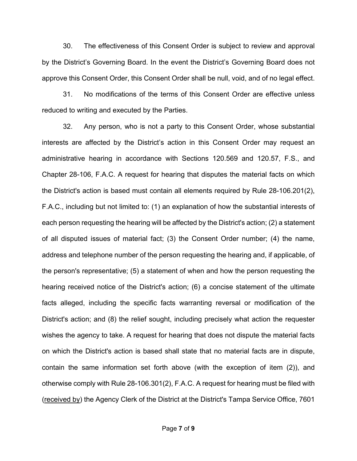30. The effectiveness of this Consent Order is subject to review and approval by the District's Governing Board. In the event the District's Governing Board does not approve this Consent Order, this Consent Order shall be null, void, and of no legal effect.

31. No modifications of the terms of this Consent Order are effective unless reduced to writing and executed by the Parties.

32. Any person, who is not a party to this Consent Order, whose substantial interests are affected by the District's action in this Consent Order may request an administrative hearing in accordance with Sections 120.569 and 120.57, F.S., and Chapter 28-106, F.A.C. A request for hearing that disputes the material facts on which the District's action is based must contain all elements required by Rule 28-106.201(2), F.A.C., including but not limited to: (1) an explanation of how the substantial interests of each person requesting the hearing will be affected by the District's action; (2) a statement of all disputed issues of material fact; (3) the Consent Order number; (4) the name, address and telephone number of the person requesting the hearing and, if applicable, of the person's representative; (5) a statement of when and how the person requesting the hearing received notice of the District's action; (6) a concise statement of the ultimate facts alleged, including the specific facts warranting reversal or modification of the District's action; and (8) the relief sought, including precisely what action the requester wishes the agency to take. A request for hearing that does not dispute the material facts on which the District's action is based shall state that no material facts are in dispute, contain the same information set forth above (with the exception of item (2)), and otherwise comply with Rule 28-106.301(2), F.A.C. A request for hearing must be filed with (received by) the Agency Clerk of the District at the District's Tampa Service Office, 7601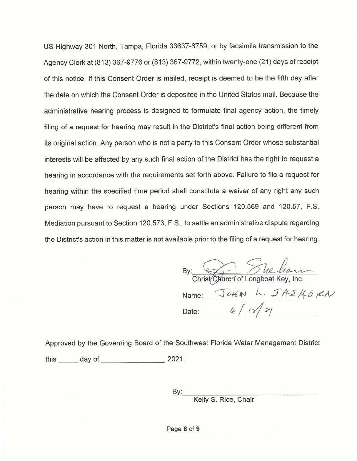US Highway 301 North, Tampa, Florida 33637-6759, or by facsimile transmission to the Agency Clerk at (813) 367-9776 or (813) 367-9772, within twenty-one (21) days of receipt of this notice. If this Consent Order is mailed, receipt is deemed to be the fifth day after the date on which the Consent Order is deposited in the United States mail. Because the administrative hearing process is designed to formulate final agency action, the timely filing of a request for hearing may result in the District's final action being different from its original action. Any person who is not a party to this Consent Order whose substantial interests will be affected by any such final action of the District has the right to request a hearing in accordance with the requirements set forth above. Failure to file a request for hearing within the specified time period shall constitute a waiver of any right any such person may have to request a hearing under Sections 120.569 and 120.57, F.S. Mediation pursuant to Section 120.573, F.S., to settle an administrative dispute regarding the District's action in this matter is not available prior to the filing of a request for hearing.

By: Christ Church of Longboat Key, Inc. Name:  $\sqrt{\frac{64N}{10}}$  L.  $5A5H0RN$ <br>Date: <u>4/12/27</u>

Approved by the Governing Board of the Southwest Florida Water Management District this \_\_\_\_\_\_ day of \_\_\_\_\_\_\_\_\_\_\_\_\_\_\_\_\_, 2021.

By: Kelly S. Rice, Chair